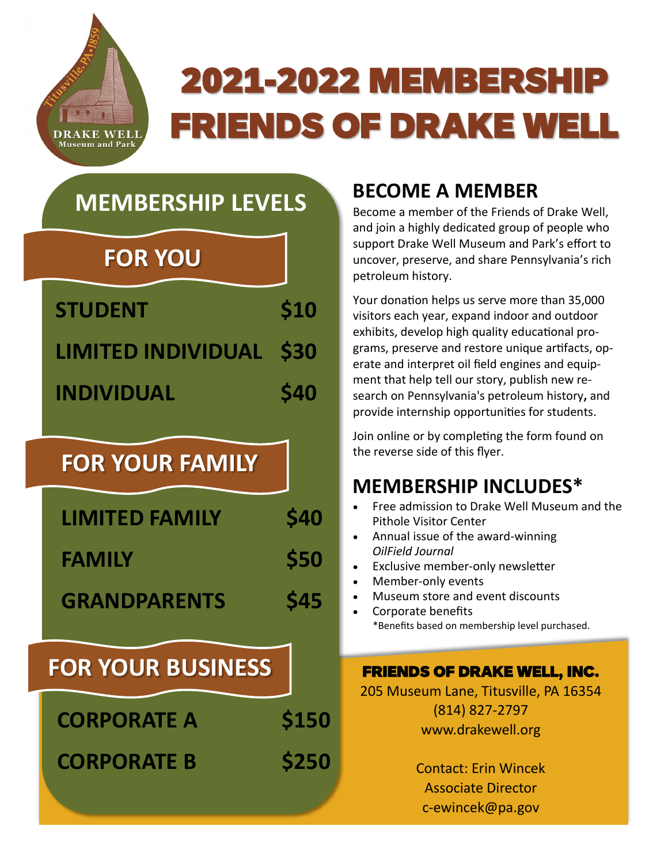

# 2021-2022 MEMBERSHIP FRIENDS OF DRAKE WELL

# **MEMBERSHIP LEVELS**

# **FOR YOU**

| <b>STUDENT</b>          | \$10        |
|-------------------------|-------------|
| LIMITED INDIVIDUAL \$30 |             |
| <b>INDIVIDUAL</b>       | <b>\$40</b> |

# **FOR YOUR FAMILY**

| <b>LIMITED FAMILY</b> | <b>\$40</b> |
|-----------------------|-------------|
| <b>FAMILY</b>         | \$50        |
| <b>GRANDPARENTS</b>   | <b>\$45</b> |

# **FOR YOUR BUSINESS**

| <b>CORPORATE A</b> | \$150 |
|--------------------|-------|
| <b>CORPORATE B</b> | \$250 |

### **BECOME A MEMBER**

Become a member of the Friends of Drake Well, and join a highly dedicated group of people who support Drake Well Museum and Park's effort to uncover, preserve, and share Pennsylvania's rich petroleum history.

Your donation helps us serve more than 35,000 visitors each year, expand indoor and outdoor exhibits, develop high quality educational programs, preserve and restore unique artifacts, operate and interpret oil field engines and equipment that help tell our story, publish new research on Pennsylvania's petroleum history**,** and provide internship opportunities for students.

Join online or by completing the form found on the reverse side of this flyer.

### **MEMBERSHIP INCLUDES\***

- Free admission to Drake Well Museum and the Pithole Visitor Center
- Annual issue of the award-winning *OilField Journal*
- Exclusive member-only newsletter
- Member-only events
- Museum store and event discounts
- Corporate benefits \*Benefits based on membership level purchased.

### FRIENDS OF DRAKE WELL, INC.

205 Museum Lane, Titusville, PA 16354 (814) 827-2797 www.drakewell.org

> Contact: Erin Wincek Associate Director c-ewincek@pa.gov